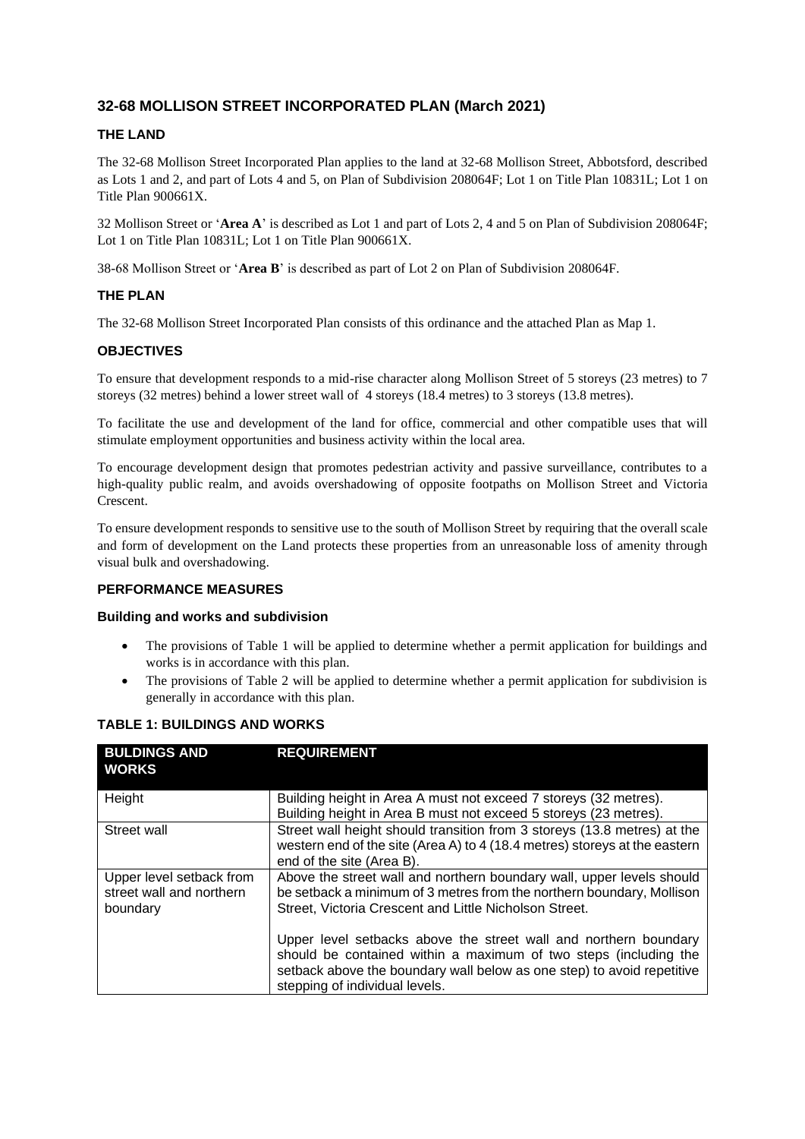# **32-68 MOLLISON STREET INCORPORATED PLAN (March 2021)**

## **THE LAND**

The 32-68 Mollison Street Incorporated Plan applies to the land at 32-68 Mollison Street, Abbotsford, described as Lots 1 and 2, and part of Lots 4 and 5, on Plan of Subdivision 208064F; Lot 1 on Title Plan 10831L; Lot 1 on Title Plan 900661X.

32 Mollison Street or '**Area A**' is described as Lot 1 and part of Lots 2, 4 and 5 on Plan of Subdivision 208064F; Lot 1 on Title Plan 10831L; Lot 1 on Title Plan 900661X.

38-68 Mollison Street or '**Area B**' is described as part of Lot 2 on Plan of Subdivision 208064F.

## **THE PLAN**

The 32-68 Mollison Street Incorporated Plan consists of this ordinance and the attached Plan as Map 1.

## **OBJECTIVES**

To ensure that development responds to a mid-rise character along Mollison Street of 5 storeys (23 metres) to 7 storeys (32 metres) behind a lower street wall of 4 storeys (18.4 metres) to 3 storeys (13.8 metres).

To facilitate the use and development of the land for office, commercial and other compatible uses that will stimulate employment opportunities and business activity within the local area.

To encourage development design that promotes pedestrian activity and passive surveillance, contributes to a high-quality public realm, and avoids overshadowing of opposite footpaths on Mollison Street and Victoria Crescent.

To ensure development responds to sensitive use to the south of Mollison Street by requiring that the overall scale and form of development on the Land protects these properties from an unreasonable loss of amenity through visual bulk and overshadowing.

### **PERFORMANCE MEASURES**

#### **Building and works and subdivision**

- The provisions of Table 1 will be applied to determine whether a permit application for buildings and works is in accordance with this plan.
- The provisions of Table 2 will be applied to determine whether a permit application for subdivision is generally in accordance with this plan.

| <b>BULDINGS AND</b><br><b>WORKS</b>                              | <b>REQUIREMENT</b>                                                                                                                                                                                                                               |
|------------------------------------------------------------------|--------------------------------------------------------------------------------------------------------------------------------------------------------------------------------------------------------------------------------------------------|
| Height                                                           | Building height in Area A must not exceed 7 storeys (32 metres).<br>Building height in Area B must not exceed 5 storeys (23 metres).                                                                                                             |
| Street wall                                                      | Street wall height should transition from 3 storeys (13.8 metres) at the<br>western end of the site (Area A) to 4 (18.4 metres) storeys at the eastern<br>end of the site (Area B).                                                              |
| Upper level setback from<br>street wall and northern<br>boundary | Above the street wall and northern boundary wall, upper levels should<br>be setback a minimum of 3 metres from the northern boundary, Mollison<br>Street, Victoria Crescent and Little Nicholson Street.                                         |
|                                                                  | Upper level setbacks above the street wall and northern boundary<br>should be contained within a maximum of two steps (including the<br>setback above the boundary wall below as one step) to avoid repetitive<br>stepping of individual levels. |

### **TABLE 1: BUILDINGS AND WORKS**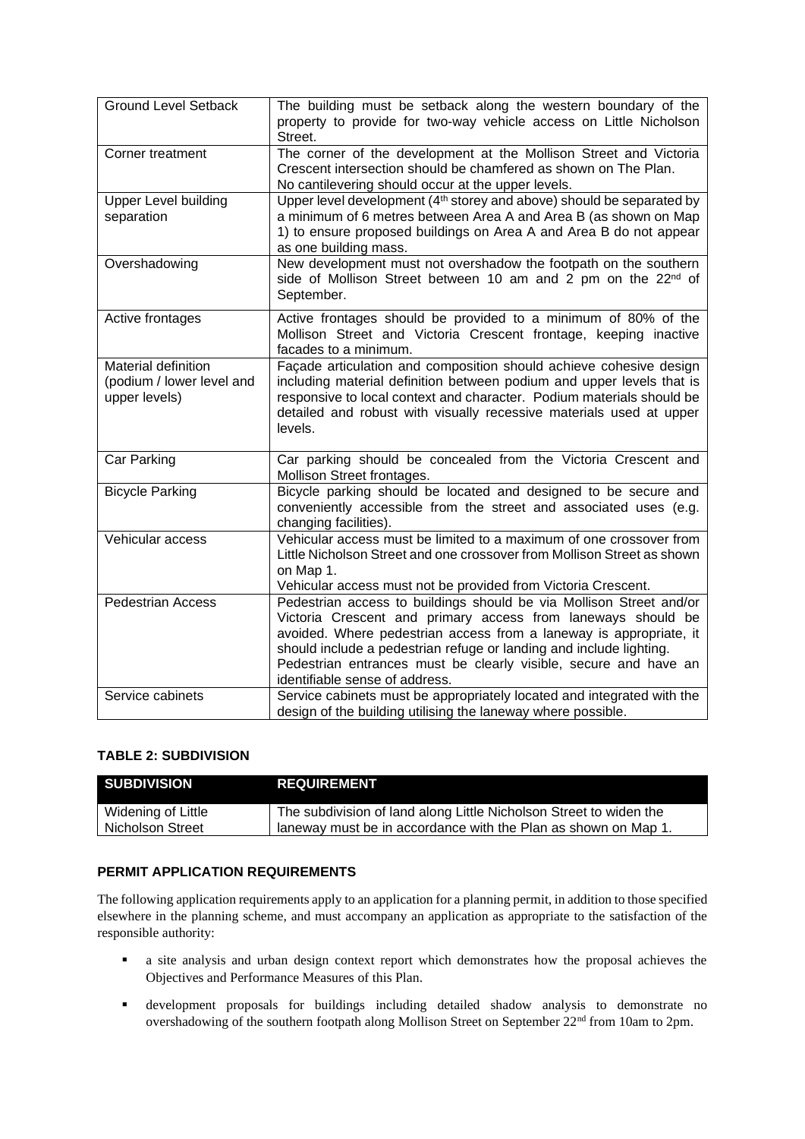| <b>Ground Level Setback</b>                                       | The building must be setback along the western boundary of the<br>property to provide for two-way vehicle access on Little Nicholson<br>Street.                                                                                                                                                                                                                                        |
|-------------------------------------------------------------------|----------------------------------------------------------------------------------------------------------------------------------------------------------------------------------------------------------------------------------------------------------------------------------------------------------------------------------------------------------------------------------------|
| Corner treatment                                                  | The corner of the development at the Mollison Street and Victoria<br>Crescent intersection should be chamfered as shown on The Plan.<br>No cantilevering should occur at the upper levels.                                                                                                                                                                                             |
| <b>Upper Level building</b><br>separation                         | Upper level development (4 <sup>th</sup> storey and above) should be separated by<br>a minimum of 6 metres between Area A and Area B (as shown on Map<br>1) to ensure proposed buildings on Area A and Area B do not appear<br>as one building mass.                                                                                                                                   |
| Overshadowing                                                     | New development must not overshadow the footpath on the southern<br>side of Mollison Street between 10 am and 2 pm on the 22nd of<br>September.                                                                                                                                                                                                                                        |
| Active frontages                                                  | Active frontages should be provided to a minimum of 80% of the<br>Mollison Street and Victoria Crescent frontage, keeping inactive<br>facades to a minimum.                                                                                                                                                                                                                            |
| Material definition<br>(podium / lower level and<br>upper levels) | Façade articulation and composition should achieve cohesive design<br>including material definition between podium and upper levels that is<br>responsive to local context and character. Podium materials should be<br>detailed and robust with visually recessive materials used at upper<br>levels.                                                                                 |
| Car Parking                                                       | Car parking should be concealed from the Victoria Crescent and<br>Mollison Street frontages.                                                                                                                                                                                                                                                                                           |
| <b>Bicycle Parking</b>                                            | Bicycle parking should be located and designed to be secure and<br>conveniently accessible from the street and associated uses (e.g.<br>changing facilities).                                                                                                                                                                                                                          |
| Vehicular access                                                  | Vehicular access must be limited to a maximum of one crossover from<br>Little Nicholson Street and one crossover from Mollison Street as shown<br>on Map 1.<br>Vehicular access must not be provided from Victoria Crescent.                                                                                                                                                           |
| <b>Pedestrian Access</b>                                          | Pedestrian access to buildings should be via Mollison Street and/or<br>Victoria Crescent and primary access from laneways should be<br>avoided. Where pedestrian access from a laneway is appropriate, it<br>should include a pedestrian refuge or landing and include lighting.<br>Pedestrian entrances must be clearly visible, secure and have an<br>identifiable sense of address. |
| Service cabinets                                                  | Service cabinets must be appropriately located and integrated with the<br>design of the building utilising the laneway where possible.                                                                                                                                                                                                                                                 |

### **TABLE 2: SUBDIVISION**

| <b>SUBDIVISION</b> | <b>REQUIREMENT</b>                                                 |
|--------------------|--------------------------------------------------------------------|
| Widening of Little | The subdivision of land along Little Nicholson Street to widen the |
| Nicholson Street   | laneway must be in accordance with the Plan as shown on Map 1.     |

# **PERMIT APPLICATION REQUIREMENTS**

The following application requirements apply to an application for a planning permit, in addition to those specified elsewhere in the planning scheme, and must accompany an application as appropriate to the satisfaction of the responsible authority:

- a site analysis and urban design context report which demonstrates how the proposal achieves the Objectives and Performance Measures of this Plan.
- development proposals for buildings including detailed shadow analysis to demonstrate no overshadowing of the southern footpath along Mollison Street on September 22<sup>nd</sup> from 10am to 2pm.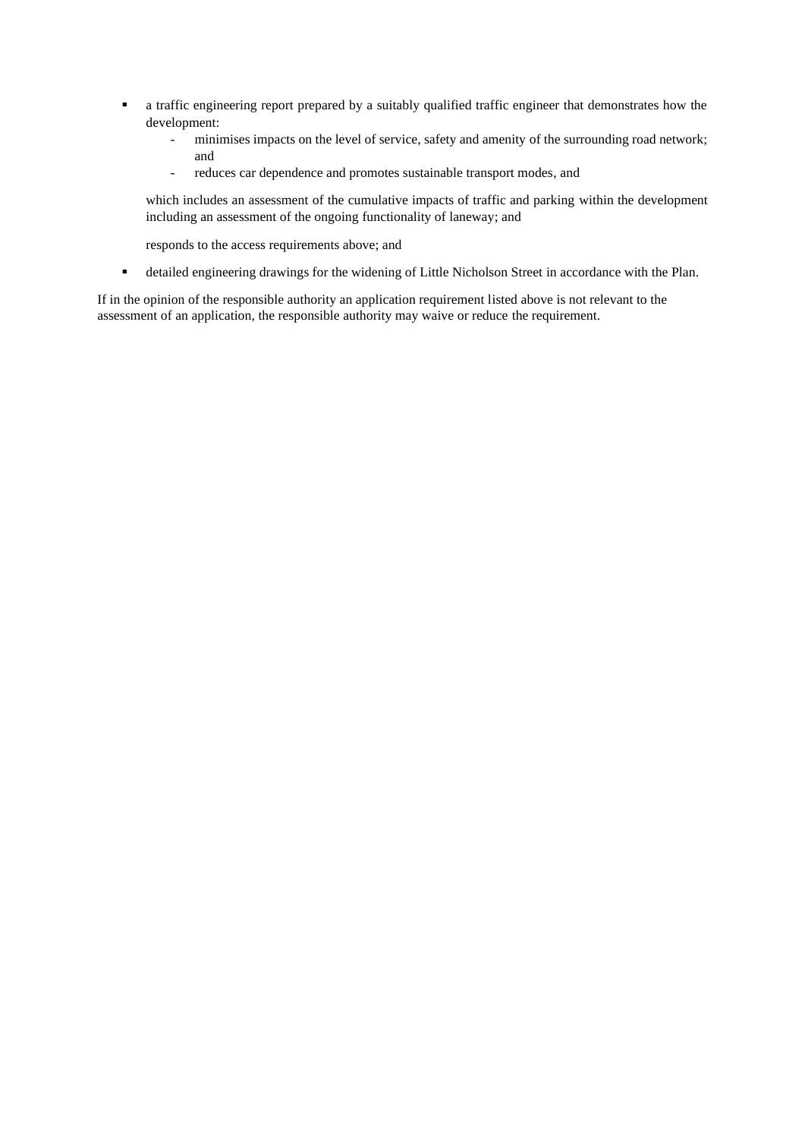- a traffic engineering report prepared by a suitably qualified traffic engineer that demonstrates how the development:
	- minimises impacts on the level of service, safety and amenity of the surrounding road network; and
	- reduces car dependence and promotes sustainable transport modes, and

which includes an assessment of the cumulative impacts of traffic and parking within the development including an assessment of the ongoing functionality of laneway; and

responds to the access requirements above; and

▪ detailed engineering drawings for the widening of Little Nicholson Street in accordance with the Plan.

If in the opinion of the responsible authority an application requirement listed above is not relevant to the assessment of an application, the responsible authority may waive or reduce the requirement.